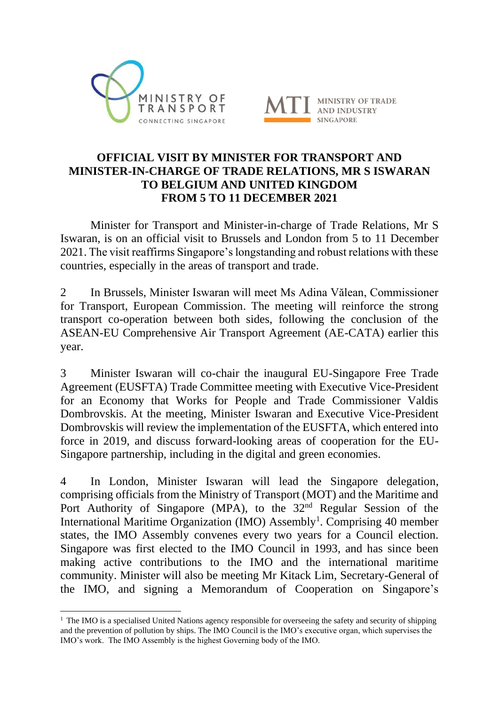



## **OFFICIAL VISIT BY MINISTER FOR TRANSPORT AND MINISTER-IN-CHARGE OF TRADE RELATIONS, MR S ISWARAN TO BELGIUM AND UNITED KINGDOM FROM 5 TO 11 DECEMBER 2021**

Minister for Transport and Minister-in-charge of Trade Relations, Mr S Iswaran, is on an official visit to Brussels and London from 5 to 11 December 2021. The visit reaffirms Singapore's longstanding and robust relations with these countries, especially in the areas of transport and trade.

2 In Brussels, Minister Iswaran will meet Ms Adina Vălean, Commissioner for Transport, European Commission. The meeting will reinforce the strong transport co-operation between both sides, following the conclusion of the ASEAN-EU Comprehensive Air Transport Agreement (AE-CATA) earlier this year.

3 Minister Iswaran will co-chair the inaugural EU-Singapore Free Trade Agreement (EUSFTA) Trade Committee meeting with Executive Vice-President for an Economy that Works for People and Trade Commissioner Valdis Dombrovskis. At the meeting, Minister Iswaran and Executive Vice-President Dombrovskis will review the implementation of the EUSFTA, which entered into force in 2019, and discuss forward-looking areas of cooperation for the EU-Singapore partnership, including in the digital and green economies.

4 In London, Minister Iswaran will lead the Singapore delegation, comprising officials from the Ministry of Transport (MOT) and the Maritime and Port Authority of Singapore (MPA), to the 32<sup>nd</sup> Regular Session of the International Maritime Organization (IMO) Assembly<sup>1</sup>. Comprising 40 member states, the IMO Assembly convenes every two years for a Council election. Singapore was first elected to the IMO Council in 1993, and has since been making active contributions to the IMO and the international maritime community. Minister will also be meeting Mr Kitack Lim, Secretary-General of the IMO, and signing a Memorandum of Cooperation on Singapore's

 $<sup>1</sup>$  The IMO is a specialised United Nations agency responsible for overseeing the safety and security of shipping</sup> and the prevention of pollution by ships. The IMO Council is the IMO's executive organ, which supervises the IMO's work. The IMO Assembly is the highest Governing body of the IMO.